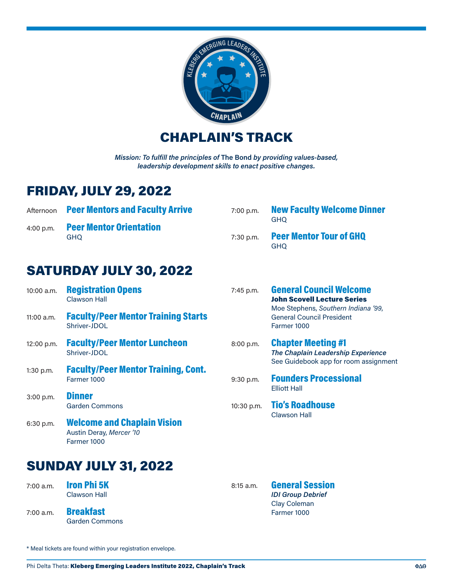

CHAPLAIN'S TRACK

*Mission: To fulfill the principles of* **The Bond** *by providing values-based, leadership development skills to enact positive changes.*

## FRIDAY, JULY 29, 2022

|             | Afternoon Peer Mentors and Faculty Arrive | $7:00$ p.m. | <b>New Faculty Welcome Dinner</b><br>GHO.    |
|-------------|-------------------------------------------|-------------|----------------------------------------------|
| $4:00$ p.m. | <b>Peer Mentor Orientation</b><br>GHO     | 7:30 p.m.   | <b>Peer Mentor Tour of GHQ</b><br><b>GHO</b> |

## SATURDAY JULY 30, 2022

| 10:00 a.m.                  | <b>Registration Opens</b><br><b>Clawson Hall</b>                              | 7:45 p.m.   | <b>General Council Welcome</b><br><b>John Scovell Lecture Series</b>                                     |
|-----------------------------|-------------------------------------------------------------------------------|-------------|----------------------------------------------------------------------------------------------------------|
| $11:00$ a.m.                | <b>Faculty/Peer Mentor Training Starts</b><br>Shriver-JDOL                    |             | Moe Stephens, Southern Indiana '99,<br><b>General Council President</b><br>Farmer 1000                   |
| 12:00 p.m.                  | <b>Faculty/Peer Mentor Luncheon</b><br>Shriver-JDOL                           | 8:00 p.m.   | <b>Chapter Meeting #1</b><br>The Chaplain Leadership Experience<br>See Guidebook app for room assignment |
| $1:30$ p.m.                 | <b>Faculty/Peer Mentor Training, Cont.</b><br>Farmer 1000                     | $9:30$ p.m. | <b>Founders Processional</b><br><b>Elliott Hall</b>                                                      |
| $3:00$ p.m.                 | <b>Dinner</b><br><b>Garden Commons</b>                                        | 10:30 p.m.  | <b>Tio's Roadhouse</b><br>Clawson Hall                                                                   |
| 6:30 p.m.                   | <b>Welcome and Chaplain Vision</b><br>Austin Deray, Mercer '10<br>Farmer 1000 |             |                                                                                                          |
| <b>SUNDAY JULY 31, 2022</b> |                                                                               |             |                                                                                                          |

7:00 a.m. **Iron Phi 5K** Clawson Hall

7:00 a.m. Breakfast Garden Commons

8:15 a.m. **General Session** *IDI Group Debrief* Clay Coleman Farmer 1000

\* Meal tickets are found within your registration envelope.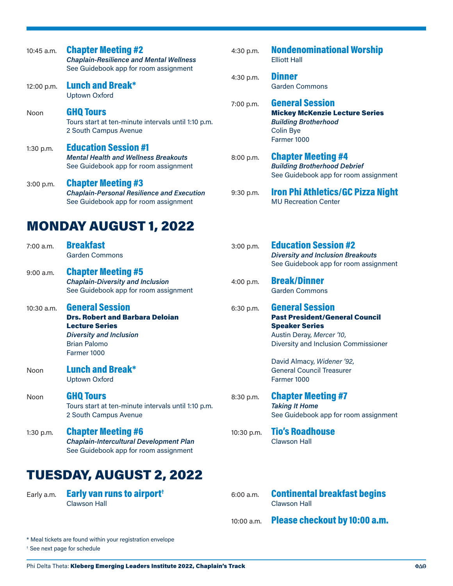| 10:45 a.m.  | <b>Chapter Meeting #2</b><br><b>Chaplain-Resilience and Mental Wellness</b><br>See Guidebook app for room assignment                                              | 4:30 p.m.  | <b>Nondenominational Worship</b><br><b>Elliott Hall</b>                                                                                                      |
|-------------|-------------------------------------------------------------------------------------------------------------------------------------------------------------------|------------|--------------------------------------------------------------------------------------------------------------------------------------------------------------|
| 12:00 p.m.  | <b>Lunch and Break*</b><br><b>Uptown Oxford</b>                                                                                                                   | 4:30 p.m.  | <b>Dinner</b><br><b>Garden Commons</b>                                                                                                                       |
| Noon        | <b>GHQ Tours</b><br>Tours start at ten-minute intervals until 1:10 p.m.<br>2 South Campus Avenue                                                                  | 7:00 p.m.  | <b>General Session</b><br><b>Mickey McKenzie Lecture Series</b><br><b>Building Brotherhood</b><br>Colin Bye<br>Farmer 1000                                   |
| 1:30 p.m.   | <b>Education Session #1</b><br><b>Mental Health and Wellness Breakouts</b><br>See Guidebook app for room assignment                                               | 8:00 p.m.  | <b>Chapter Meeting #4</b><br><b>Building Brotherhood Debrief</b><br>See Guidebook app for room assignr                                                       |
| 3:00 p.m.   | <b>Chapter Meeting #3</b><br><b>Chaplain-Personal Resilience and Execution</b><br>See Guidebook app for room assignment                                           | 9:30 p.m.  | <b>Iron Phi Athletics/GC Pizza Ni</b><br><b>MU Recreation Center</b>                                                                                         |
|             | <b>MONDAY AUGUST 1, 2022</b>                                                                                                                                      |            |                                                                                                                                                              |
| 7:00 a.m.   | <b>Breakfast</b><br><b>Garden Commons</b>                                                                                                                         | 3:00 p.m.  | <b>Education Session #2</b><br><b>Diversity and Inclusion Breakouts</b><br>See Guidebook app for room assignr                                                |
| $9:00$ a.m. | <b>Chapter Meeting #5</b><br><b>Chaplain-Diversity and Inclusion</b><br>See Guidebook app for room assignment                                                     | 4:00 p.m.  | <b>Break/Dinner</b><br><b>Garden Commons</b>                                                                                                                 |
| 10:30 a.m.  | <b>General Session</b><br><b>Drs. Robert and Barbara Deloian</b><br><b>Lecture Series</b><br><b>Diversity and Inclusion</b><br><b>Brian Palomo</b><br>Farmer 1000 | 6:30 p.m.  | <b>General Session</b><br><b>Past President/General Council</b><br><b>Speaker Series</b><br>Austin Deray, Mercer '10,<br>Diversity and Inclusion Commissione |
| Noon        | <b>Lunch and Break*</b><br><b>Uptown Oxford</b>                                                                                                                   |            | David Almacy, Widener '92,<br><b>General Council Treasurer</b><br>Farmer 1000                                                                                |
| Noon        | <b>GHQ Tours</b><br>Tours start at ten-minute intervals until 1:10 p.m.<br>2 South Campus Avenue                                                                  | 8:30 p.m.  | <b>Chapter Meeting #7</b><br><b>Taking It Home</b><br>See Guidebook app for room assignr                                                                     |
| 1:30 p.m.   | <b>Chapter Meeting #6</b><br>Chaplain-Intercultural Development Plan<br>See Guidebook app for room assignment                                                     | 10:30 p.m. | <b>Tio's Roadhouse</b><br><b>Clawson Hall</b>                                                                                                                |
|             | TUESDAY, AUGUST 2, 2022                                                                                                                                           |            |                                                                                                                                                              |
| Early a.m.  | <b>Early van runs to airport<sup>t</sup></b>                                                                                                                      | 6:00 a.m.  | <b>Continental breakfast begins</b>                                                                                                                          |

## Colin Bye Farmer 1000 .<sub>m.</sub> **Chapter Meeting #4** *Building Brotherhood Debrief* See Guidebook app for room assignment .m. **Iron Phi Athletics/GC Pizza Night** MU Recreation Center  $1.0$ m. **Education Session #2** *Diversity and Inclusion Breakouts* See Guidebook app for room assignment .<sub>m.</sub> Break/Dinner Garden Commons .<sub>m.</sub> **General Session** Past President/General Council Speaker Series Austin Deray, *Mercer '10*, Diversity and Inclusion Commissioner David Almacy, *Widener '92*, General Council Treasurer Farmer 1000

.m. **Chapter Meeting #7** *Taking It Home* See Guidebook app for room assignment

## p.m. **Tio's Roadhouse** Clawson Hall

- 6:00 a.m. Continental breakfast begins Clawson Hall
- 10:00 a.m. Please checkout by 10:00 a.m.

\* Meal tickets are found within your registration envelope

Clawson Hall

† See next page for schedule